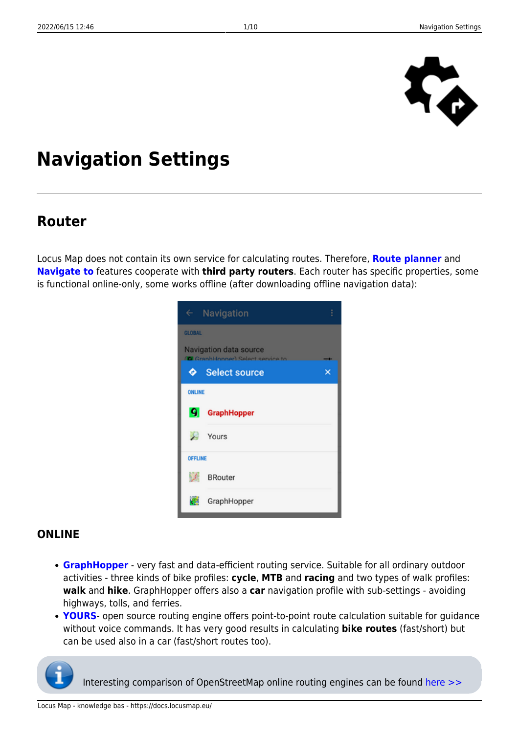

# **Navigation Settings**

### **Router**

Locus Map does not contain its own service for calculating routes. Therefore, **[Route planner](https://docs.locusmap.eu/doku.php?id=manual:user_guide:tracks:planning)** and **[Navigate to](https://docs.locusmap.eu/doku.php?id=manual:user_guide:functions:navigation:point-to-point)** features cooperate with **third party routers**. Each router has specific properties, some is functional online-only, some works offline (after downloading offline navigation data):

|                | $\leftarrow$ Navigation                                     | i |
|----------------|-------------------------------------------------------------|---|
| <b>GLOBAL</b>  |                                                             |   |
|                | Navigation data source<br>(C GranhHonner) Select cervice to |   |
| ۰              | <b>Select source</b>                                        |   |
| ONLINE         |                                                             |   |
| 9              | <b>GraphHopper</b>                                          |   |
|                | Yours                                                       |   |
| <b>OFFLINE</b> |                                                             |   |
| S.             | <b>BRouter</b>                                              |   |
|                | GraphHopper                                                 |   |

#### **ONLINE**

- **[GraphHopper](https://www.graphhopper.com/)** very fast and data-efficient routing service. Suitable for all ordinary outdoor activities - three kinds of bike profiles: **cycle**, **MTB** and **racing** and two types of walk profiles: **walk** and **hike**. GraphHopper offers also a **car** navigation profile with sub-settings - avoiding highways, tolls, and ferries.
- **[YOURS](http://wiki.openstreetmap.org/wiki/YOURS)** open source routing engine offers point-to-point route calculation suitable for guidance without voice commands. It has very good results in calculating **bike routes** (fast/short) but can be used also in a car (fast/short routes too).



Interesting comparison of OpenStreetMap online routing engines can be found [here >>](http://wiki.openstreetmap.org/wiki/Routing/online_routers)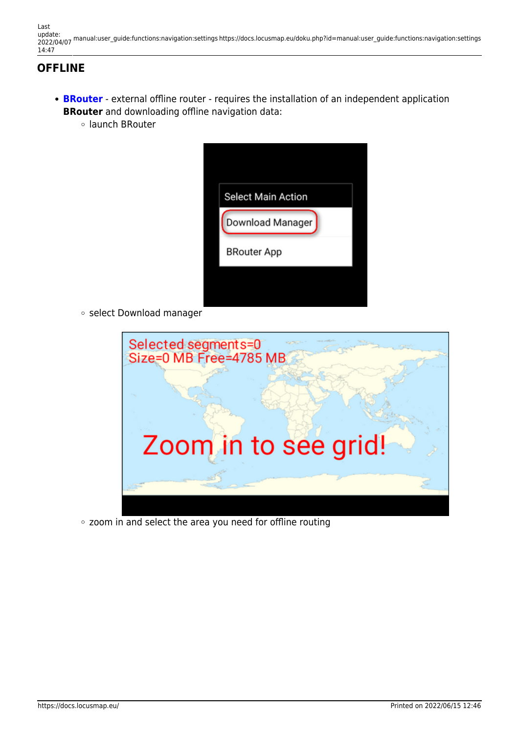Last update: 2022/04/07 manual:user\_guide:functions:navigation:settings https://docs.locusmap.eu/doku.php?id=manual:user\_guide:functions:navigation:settings 14:47

### **OFFLINE**

- **[BRouter](https://play.google.com/store/apps/details?id=btools.routingapp)** external offline router requires the installation of an independent application **BRouter** and downloading offline navigation data:
	- launch BRouter



o select Download manager



zoom in and select the area you need for offline routing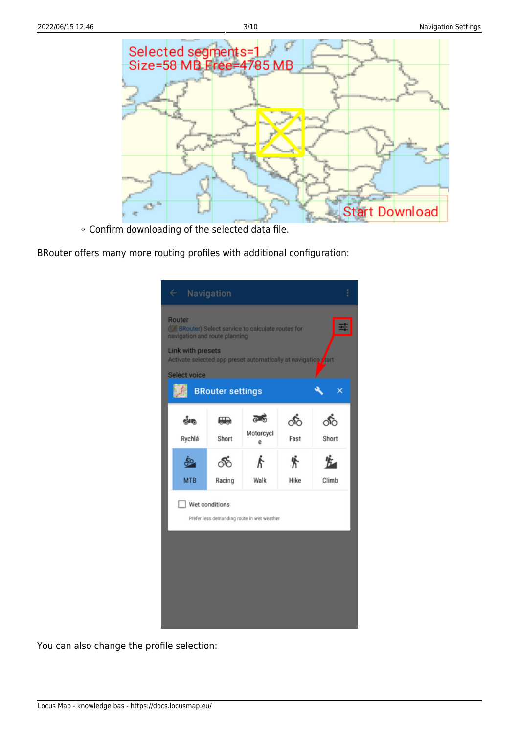

Confirm downloading of the selected data file.

BRouter offers many more routing profiles with additional configuration:

| $\leftarrow$                                                 | Navigation                                                                                                                                                                                                                              |                                                                |            |             |  |
|--------------------------------------------------------------|-----------------------------------------------------------------------------------------------------------------------------------------------------------------------------------------------------------------------------------------|----------------------------------------------------------------|------------|-------------|--|
| Router<br>navigation and route planning<br>Link with presets |                                                                                                                                                                                                                                         | (C BRouter) Select service to calculate routes for             |            |             |  |
| Select voice                                                 | <b>BRouter settings</b>                                                                                                                                                                                                                 | Activate selected app preset automatically at navigation rtart |            | ×           |  |
| ešans.<br>Rychlá                                             | e de la composición de la composición de la composición de la composición de la composición de la composición de la composición de la composición de la composición de la composición de la composición de la composición de l<br>Short | తాం<br>Motorcycl<br>ë                                          | ீ்<br>Fast | ி்<br>Short |  |
| 50.<br><b>MTB</b>                                            | య్<br>Racing                                                                                                                                                                                                                            | Walk                                                           | 鉴<br>Hike  | Climb       |  |
| Wet conditions<br>Prefer less demanding route in wet weather |                                                                                                                                                                                                                                         |                                                                |            |             |  |
|                                                              |                                                                                                                                                                                                                                         |                                                                |            |             |  |
|                                                              |                                                                                                                                                                                                                                         |                                                                |            |             |  |
|                                                              |                                                                                                                                                                                                                                         |                                                                |            |             |  |

You can also change the profile selection: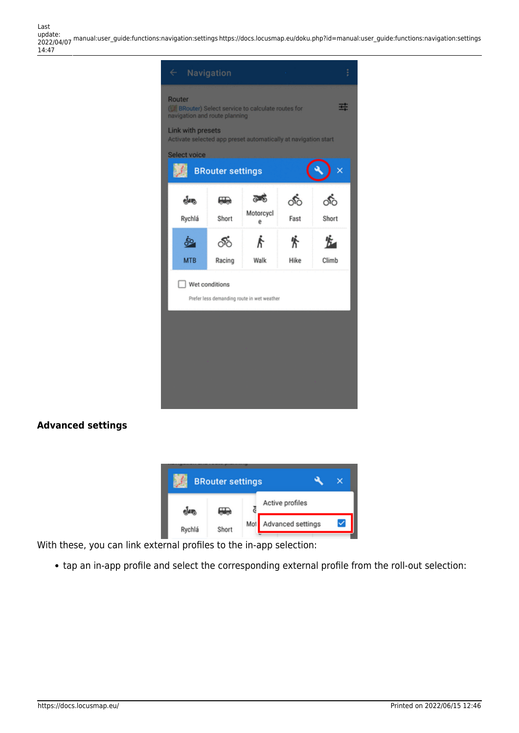

#### **Advanced settings**



With these, you can link external profiles to the in-app selection:

tap an in-app profile and select the corresponding external profile from the roll-out selection: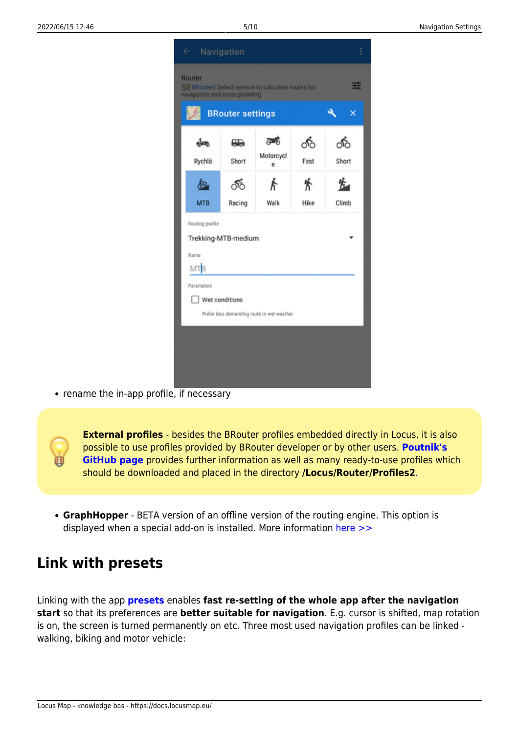

• rename the in-app profile, if necessary



**GraphHopper** - BETA version of an offline version of the routing engine. This option is displayed when a special add-on is installed. More information [here >>](http://forum.locusmap.eu/index.php?topic=4036.0)

### **Link with presets**

Linking with the app **[presets](https://docs.locusmap.eu/doku.php?id=manual:user_guide:settings:presets)** enables **fast re-setting of the whole app after the navigation start** so that its preferences are **better suitable for navigation**. E.g. cursor is shifted, map rotation is on, the screen is turned permanently on etc. Three most used navigation profiles can be linked walking, biking and motor vehicle: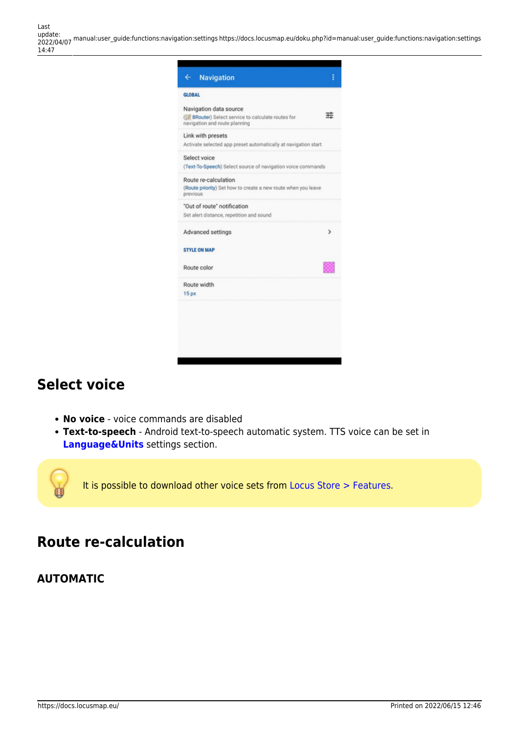Last<br>update: update: 2022/04/07 manual:user\_guide:functions:navigation:settings https://docs.locusmap.eu/doku.php?id=manual:user\_guide:functions:navigation:settings 14:47



### **Select voice**

- **No voice** voice commands are disabled
- **Text-to-speech** Android text-to-speech automatic system. TTS voice can be set in **[Language&Units](https://docs.locusmap.eu/doku.php?id=manual:user_guide:settings:lang_units)** settings section.

It is possible to download other voice sets from [Locus Store > Features](https://docs.locusmap.eu/doku.php?id=manual:user_guide:locus_store).

### **Route re-calculation**

#### **AUTOMATIC**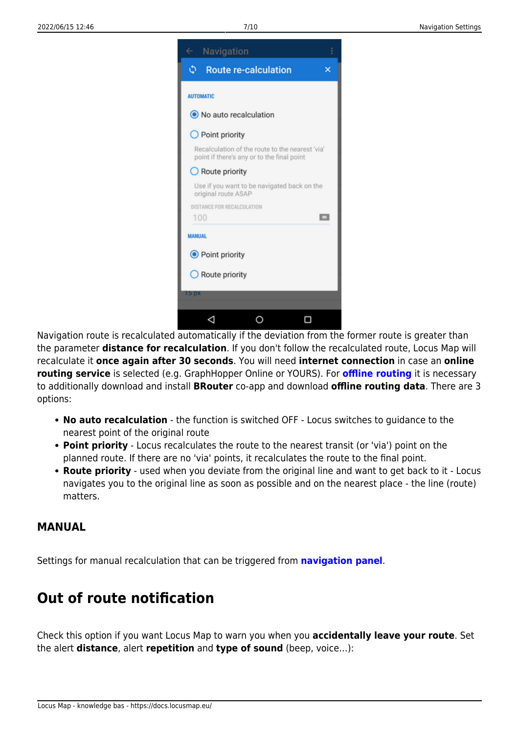

Navigation route is recalculated automatically if the deviation from the former route is greater than the parameter **distance for recalculation**. If you don't follow the recalculated route, Locus Map will recalculate it **once again after 30 seconds**. You will need **internet connection** in case an **online routing service** is selected (e.g. GraphHopper Online or YOURS). For **[offline routing](https://docs.locusmap.eu/doku.php?id=manual:user_guide:functions:navigation:point-to-point#offline_navigation)** it is necessary to additionally download and install **BRouter** co-app and download **offline routing data**. There are 3 options:

- **No auto recalculation** the function is switched OFF Locus switches to guidance to the nearest point of the original route
- **Point priority** Locus recalculates the route to the nearest transit (or 'via') point on the planned route. If there are no 'via' points, it recalculates the route to the final point.
- **Route priority** used when you deviate from the original line and want to get back to it Locus navigates you to the original line as soon as possible and on the nearest place - the line (route) matters.

#### **MANUAL**

Settings for manual recalculation that can be triggered from **[navigation panel](https://docs.locusmap.eu/doku.php?id=manual:user_guide:functions:navigation#control_menu)**.

### **Out of route notification**

Check this option if you want Locus Map to warn you when you **accidentally leave your route**. Set the alert **distance**, alert **repetition** and **type of sound** (beep, voice…):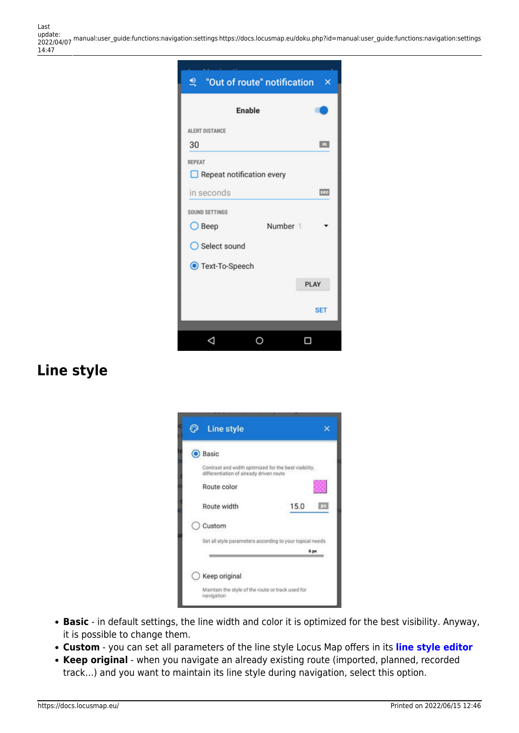Last<br>update: update: 2022/04/07 manual:user\_guide:functions:navigation:settings https://docs.locusmap.eu/doku.php?id=manual:user\_guide:functions:navigation:settings 14:47



### **Line style**

| <b>Line style</b>                       |                                                          |
|-----------------------------------------|----------------------------------------------------------|
| <b>O</b> Basic                          |                                                          |
| differentiation of already driven route | Contrast and width optimized for the best visibility,    |
| Route color                             |                                                          |
| Route width                             | 15.0                                                     |
| Custom                                  |                                                          |
|                                         | Set all style parameters according to your topical needs |
|                                         | 6 px                                                     |
| Keep original                           |                                                          |
|                                         |                                                          |

- **Basic** in default settings, the line width and color it is optimized for the best visibility. Anyway, it is possible to change them.
- **Custom** you can set all parameters of the line style Locus Map offers in its **[line style editor](https://docs.locusmap.eu/doku.php?id=manual:user_guide:tracks:management#style_editor)**
- **Keep original** when you navigate an already existing route (imported, planned, recorded track…) and you want to maintain its line style during navigation, select this option.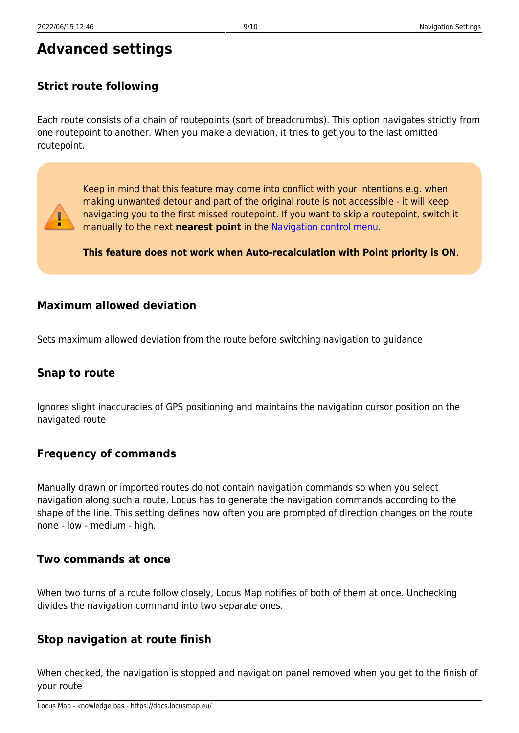## **Advanced settings**

### **Strict route following**

Each route consists of a chain of routepoints (sort of breadcrumbs). This option navigates strictly from one routepoint to another. When you make a deviation, it tries to get you to the last omitted routepoint.



Keep in mind that this feature may come into conflict with your intentions e.g. when making unwanted detour and part of the original route is not accessible - it will keep navigating you to the first missed routepoint. If you want to skip a routepoint, switch it manually to the next **nearest point** in the [Navigation control menu.](https://docs.locusmap.eu/doku.php?id=manual:user_guide:functions:navigation#navigation_control_menu)

**This feature does not work when Auto-recalculation with Point priority is ON**.

### **Maximum allowed deviation**

Sets maximum allowed deviation from the route before switching navigation to guidance

### **Snap to route**

Ignores slight inaccuracies of GPS positioning and maintains the navigation cursor position on the navigated route

### **Frequency of commands**

Manually drawn or imported routes do not contain navigation commands so when you select navigation along such a route, Locus has to generate the navigation commands according to the shape of the line. This setting defines how often you are prompted of direction changes on the route: none - low - medium - high.

#### **Two commands at once**

When two turns of a route follow closely, Locus Map notifies of both of them at once. Unchecking divides the navigation command into two separate ones.

### **Stop navigation at route finish**

When checked, the navigation is stopped and navigation panel removed when you get to the finish of your route